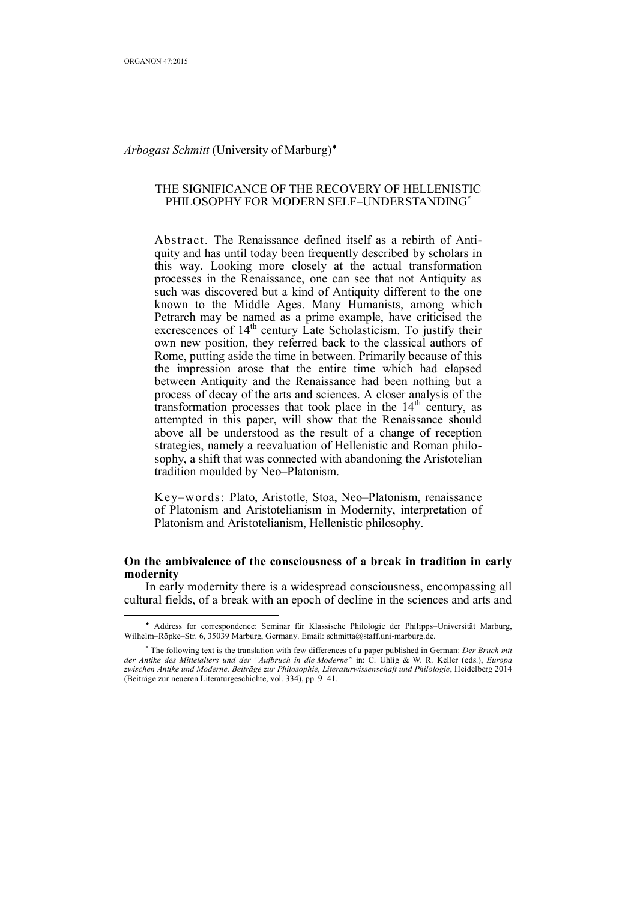$\overline{a}$ 

#### *Arbogast Schmitt* (University of Marburg)

## THE SIGNIFICANCE OF THE RECOVERY OF HELLENISTIC PHILOSOPHY FOR MODERN SELF-UNDERSTANDING<sup>\*</sup>

Abstract. The Renaissance defined itself as a rebirth of Antiquity and has until today been frequently described by scholars in this way. Looking more closely at the actual transformation processes in the Renaissance, one can see that not Antiquity as such was discovered but a kind of Antiquity different to the one known to the Middle Ages. Many Humanists, among which Petrarch may be named as a prime example, have criticised the excrescences of 14<sup>th</sup> century Late Scholasticism. To justify their own new position, they referred back to the classical authors of Rome, putting aside the time in between. Primarily because of this the impression arose that the entire time which had elapsed between Antiquity and the Renaissance had been nothing but a process of decay of the arts and sciences. A closer analysis of the transformation processes that took place in the  $14<sup>th</sup>$  century, as attempted in this paper, will show that the Renaissance should above all be understood as the result of a change of reception strategies, namely a reevaluation of Hellenistic and Roman philosophy, a shift that was connected with abandoning the Aristotelian tradition moulded by Neo–Platonism.

Key–words: Plato, Aristotle, Stoa, Neo–Platonism, renaissance of Platonism and Aristotelianism in Modernity, interpretation of Platonism and Aristotelianism, Hellenistic philosophy.

## **On the ambivalence of the consciousness of a break in tradition in early modernity**

In early modernity there is a widespread consciousness, encompassing all cultural fields, of a break with an epoch of decline in the sciences and arts and

Address for correspondence: Seminar für Klassische Philologie der Philipps–Universität Marburg, Wilhelm–Röpke–Str. 6, 35039 Marburg, Germany. Email: schmitta@staff.uni-marburg.de.

The following text is the translation with few differences of a paper published in German: *Der Bruch mit der Antike des Mittelalters und der "Aufbruch in die Moderne"* in: C. Uhlig & W. R. Keller (eds.), *Europa zwischen Antike und Moderne. Beiträge zur Philosophie, Literaturwissenschaft und Philologie*, Heidelberg 2014 (Beiträge zur neueren Literaturgeschichte, vol. 334), pp. 9–41.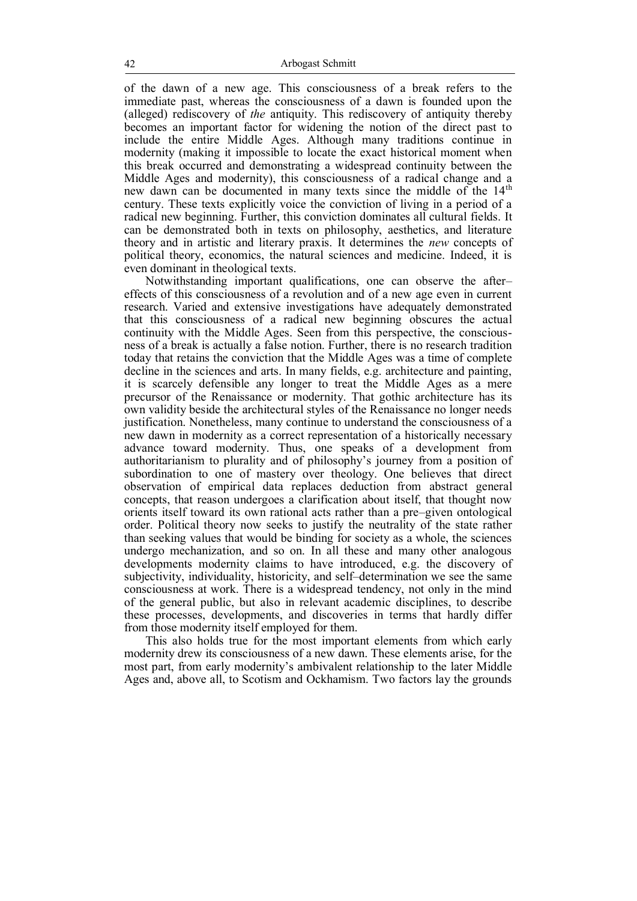of the dawn of a new age. This consciousness of a break refers to the immediate past, whereas the consciousness of a dawn is founded upon the (alleged) rediscovery of *the* antiquity. This rediscovery of antiquity thereby becomes an important factor for widening the notion of the direct past to include the entire Middle Ages. Although many traditions continue in modernity (making it impossible to locate the exact historical moment when this break occurred and demonstrating a widespread continuity between the Middle Ages and modernity), this consciousness of a radical change and a new dawn can be documented in many texts since the middle of the 14<sup>th</sup> century. These texts explicitly voice the conviction of living in a period of a radical new beginning. Further, this conviction dominates all cultural fields. It can be demonstrated both in texts on philosophy, aesthetics, and literature theory and in artistic and literary praxis. It determines the *new* concepts of political theory, economics, the natural sciences and medicine. Indeed, it is even dominant in theological texts.

Notwithstanding important qualifications, one can observe the after– effects of this consciousness of a revolution and of a new age even in current research. Varied and extensive investigations have adequately demonstrated that this consciousness of a radical new beginning obscures the actual continuity with the Middle Ages. Seen from this perspective, the consciousness of a break is actually a false notion. Further, there is no research tradition today that retains the conviction that the Middle Ages was a time of complete decline in the sciences and arts. In many fields, e.g. architecture and painting, it is scarcely defensible any longer to treat the Middle Ages as a mere precursor of the Renaissance or modernity. That gothic architecture has its own validity beside the architectural styles of the Renaissance no longer needs justification. Nonetheless, many continue to understand the consciousness of a new dawn in modernity as a correct representation of a historically necessary advance toward modernity. Thus, one speaks of a development from authoritarianism to plurality and of philosophy's journey from a position of subordination to one of mastery over theology. One believes that direct observation of empirical data replaces deduction from abstract general concepts, that reason undergoes a clarification about itself, that thought now orients itself toward its own rational acts rather than a pre–given ontological order. Political theory now seeks to justify the neutrality of the state rather than seeking values that would be binding for society as a whole, the sciences undergo mechanization, and so on. In all these and many other analogous developments modernity claims to have introduced, e.g. the discovery of subjectivity, individuality, historicity, and self–determination we see the same consciousness at work. There is a widespread tendency, not only in the mind of the general public, but also in relevant academic disciplines, to describe these processes, developments, and discoveries in terms that hardly differ from those modernity itself employed for them.

This also holds true for the most important elements from which early modernity drew its consciousness of a new dawn. These elements arise, for the most part, from early modernity's ambivalent relationship to the later Middle Ages and, above all, to Scotism and Ockhamism. Two factors lay the grounds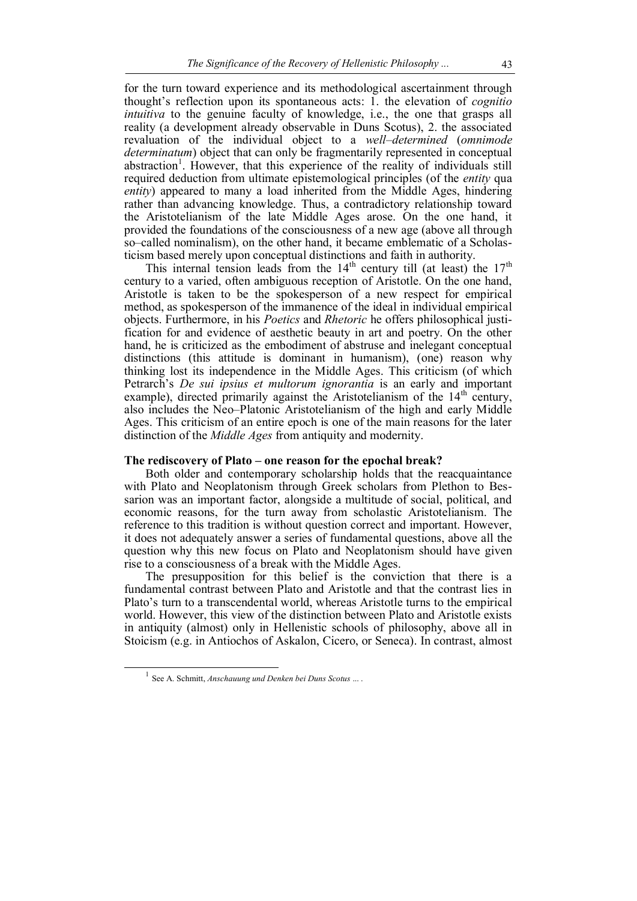for the turn toward experience and its methodological ascertainment through thought's reflection upon its spontaneous acts: 1. the elevation of *cognitio intuitiva* to the genuine faculty of knowledge, i.e., the one that grasps all reality (a development already observable in Duns Scotus), 2. the associated revaluation of the individual object to a *well–determined* (*omnimode determinatum*) object that can only be fragmentarily represented in conceptual abstraction<sup>1</sup>. However, that this experience of the reality of individuals still required deduction from ultimate epistemological principles (of the *entity* qua *entity*) appeared to many a load inherited from the Middle Ages, hindering rather than advancing knowledge. Thus, a contradictory relationship toward the Aristotelianism of the late Middle Ages arose. On the one hand, it provided the foundations of the consciousness of a new age (above all through so–called nominalism), on the other hand, it became emblematic of a Scholasticism based merely upon conceptual distinctions and faith in authority.

This internal tension leads from the  $14<sup>th</sup>$  century till (at least) the  $17<sup>th</sup>$ century to a varied, often ambiguous reception of Aristotle. On the one hand, Aristotle is taken to be the spokesperson of a new respect for empirical method, as spokesperson of the immanence of the ideal in individual empirical objects. Furthermore, in his *Poetics* and *Rhetoric* he offers philosophical justification for and evidence of aesthetic beauty in art and poetry. On the other hand, he is criticized as the embodiment of abstruse and inelegant conceptual distinctions (this attitude is dominant in humanism), (one) reason why thinking lost its independence in the Middle Ages. This criticism (of which Petrarch's *De sui ipsius et multorum ignorantia* is an early and important example), directed primarily against the Aristotelianism of the  $14<sup>th</sup>$  century, also includes the Neo–Platonic Aristotelianism of the high and early Middle Ages. This criticism of an entire epoch is one of the main reasons for the later distinction of the *Middle Ages* from antiquity and modernity.

#### **The rediscovery of Plato – one reason for the epochal break?**

Both older and contemporary scholarship holds that the reacquaintance with Plato and Neoplatonism through Greek scholars from Plethon to Bessarion was an important factor, alongside a multitude of social, political, and economic reasons, for the turn away from scholastic Aristotelianism. The reference to this tradition is without question correct and important. However, it does not adequately answer a series of fundamental questions, above all the question why this new focus on Plato and Neoplatonism should have given rise to a consciousness of a break with the Middle Ages.

The presupposition for this belief is the conviction that there is a fundamental contrast between Plato and Aristotle and that the contrast lies in Plato's turn to a transcendental world, whereas Aristotle turns to the empirical world. However, this view of the distinction between Plato and Aristotle exists in antiquity (almost) only in Hellenistic schools of philosophy, above all in Stoicism (e.g. in Antiochos of Askalon, Cicero, or Seneca). In contrast, almost

<sup>1</sup> See A. Schmitt, *Anschauung und Denken bei Duns Scotus* ... .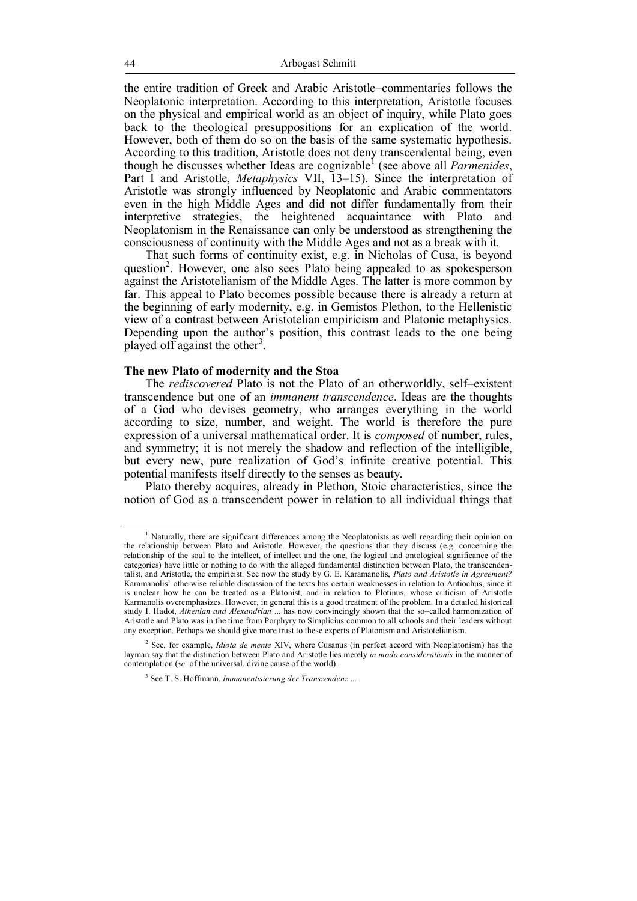the entire tradition of Greek and Arabic Aristotle–commentaries follows the Neoplatonic interpretation. According to this interpretation, Aristotle focuses on the physical and empirical world as an object of inquiry, while Plato goes back to the theological presuppositions for an explication of the world. However, both of them do so on the basis of the same systematic hypothesis. According to this tradition, Aristotle does not deny transcendental being, even though he discusses whether Ideas are cognizable<sup>1</sup> (see above all *Parmenides*, Part I and Aristotle, *Metaphysics* VII, 13-15). Since the interpretation of Aristotle was strongly influenced by Neoplatonic and Arabic commentators even in the high Middle Ages and did not differ fundamentally from their interpretive strategies, the heightened acquaintance with Plato and Neoplatonism in the Renaissance can only be understood as strengthening the consciousness of continuity with the Middle Ages and not as a break with it.

That such forms of continuity exist, e.g. in Nicholas of Cusa, is beyond question<sup>2</sup>. However, one also sees Plato being appealed to as spokesperson against the Aristotelianism of the Middle Ages. The latter is more common by far. This appeal to Plato becomes possible because there is already a return at the beginning of early modernity, e.g. in Gemistos Plethon, to the Hellenistic view of a contrast between Aristotelian empiricism and Platonic metaphysics. Depending upon the author's position, this contrast leads to the one being played off against the other<sup>3</sup>.

### **The new Plato of modernity and the Stoa**

The *rediscovered* Plato is not the Plato of an otherworldly, self–existent transcendence but one of an *immanent transcendence*. Ideas are the thoughts of a God who devises geometry, who arranges everything in the world according to size, number, and weight. The world is therefore the pure expression of a universal mathematical order. It is *composed* of number, rules, and symmetry; it is not merely the shadow and reflection of the intelligible, but every new, pure realization of God's infinite creative potential. This potential manifests itself directly to the senses as beauty.

Plato thereby acquires, already in Plethon, Stoic characteristics, since the notion of God as a transcendent power in relation to all individual things that

<sup>1</sup> Naturally, there are significant differences among the Neoplatonists as well regarding their opinion on the relationship between Plato and Aristotle. However, the questions that they discuss (e.g. concerning the relationship of the soul to the intellect, of intellect and the one, the logical and ontological significance of the categories) have little or nothing to do with the alleged fundamental distinction between Plato, the transcendentalist, and Aristotle, the empiricist. See now the study by G. E. Karamanolis, *Plato and Aristotle in Agreement?* Karamanolis' otherwise reliable discussion of the texts has certain weaknesses in relation to Antiochus, since it is unclear how he can be treated as a Platonist, and in relation to Plotinus, whose criticism of Aristotle Karmanolis overemphasizes. However, in general this is a good treatment of the problem. In a detailed historical study I. Hadot, *Athenian and Alexandrian* ... has now convincingly shown that the so–called harmonization of Aristotle and Plato was in the time from Porphyry to Simplicius common to all schools and their leaders without any exception. Perhaps we should give more trust to these experts of Platonism and Aristotelianism

<sup>2</sup> See, for example, *Idiota de mente* XIV, where Cusanus (in perfect accord with Neoplatonism) has the layman say that the distinction between Plato and Aristotle lies merely *in modo considerationis* in the manner of contemplation (*sc.* of the universal, divine cause of the world).

<sup>3</sup> See T. S. Hoffmann, *Immanentisierung der Transzendenz* ... .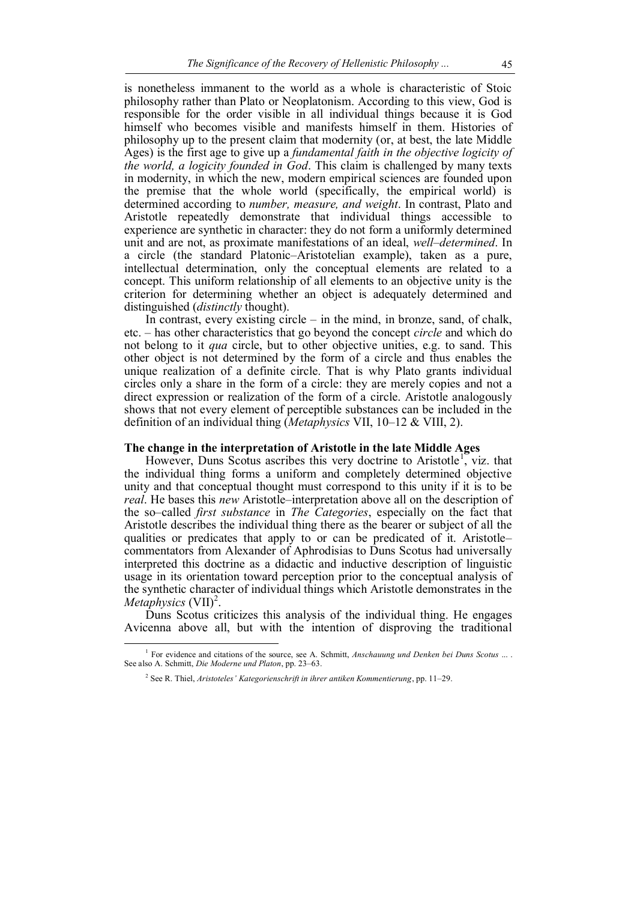is nonetheless immanent to the world as a whole is characteristic of Stoic philosophy rather than Plato or Neoplatonism. According to this view, God is responsible for the order visible in all individual things because it is God himself who becomes visible and manifests himself in them. Histories of philosophy up to the present claim that modernity (or, at best, the late Middle Ages) is the first age to give up a *fundamental faith in the objective logicity of the world, a logicity founded in God*. This claim is challenged by many texts in modernity, in which the new, modern empirical sciences are founded upon the premise that the whole world (specifically, the empirical world) is determined according to *number, measure, and weight*. In contrast, Plato and Aristotle repeatedly demonstrate that individual things accessible to experience are synthetic in character: they do not form a uniformly determined unit and are not, as proximate manifestations of an ideal, *well–determined*. In a circle (the standard Platonic–Aristotelian example), taken as a pure, intellectual determination, only the conceptual elements are related to a concept. This uniform relationship of all elements to an objective unity is the criterion for determining whether an object is adequately determined and distinguished (*distinctly* thought).

In contrast, every existing circle  $-$  in the mind, in bronze, sand, of chalk, etc. – has other characteristics that go beyond the concept *circle* and which do not belong to it *qua* circle, but to other objective unities, e.g. to sand. This other object is not determined by the form of a circle and thus enables the unique realization of a definite circle. That is why Plato grants individual circles only a share in the form of a circle: they are merely copies and not a direct expression or realization of the form of a circle. Aristotle analogously shows that not every element of perceptible substances can be included in the definition of an individual thing (*Metaphysics* VII, 10–12 & VIII, 2).

#### **The change in the interpretation of Aristotle in the late Middle Ages**

However, Duns Scotus ascribes this very doctrine to Aristotle<sup>1</sup>, viz. that the individual thing forms a uniform and completely determined objective unity and that conceptual thought must correspond to this unity if it is to be *real*. He bases this *new* Aristotle–interpretation above all on the description of the so–called *first substance* in *The Categories*, especially on the fact that Aristotle describes the individual thing there as the bearer or subject of all the qualities or predicates that apply to or can be predicated of it. Aristotle– commentators from Alexander of Aphrodisias to Duns Scotus had universally interpreted this doctrine as a didactic and inductive description of linguistic usage in its orientation toward perception prior to the conceptual analysis of the synthetic character of individual things which Aristotle demonstrates in the *Metaphysics* (VII)<sup>2</sup>.

Duns Scotus criticizes this analysis of the individual thing. He engages Avicenna above all, but with the intention of disproving the traditional

<sup>&</sup>lt;sup>1</sup> For evidence and citations of the source, see A. Schmitt, *Anschauung und Denken bei Duns Scotus* ... . See also A. Schmitt, *Die Moderne und Platon*, pp. 23–63.

<sup>2</sup> See R. Thiel, *Aristoteles' Kategorienschrift in ihrer antiken Kommentierung*, pp. 11–29.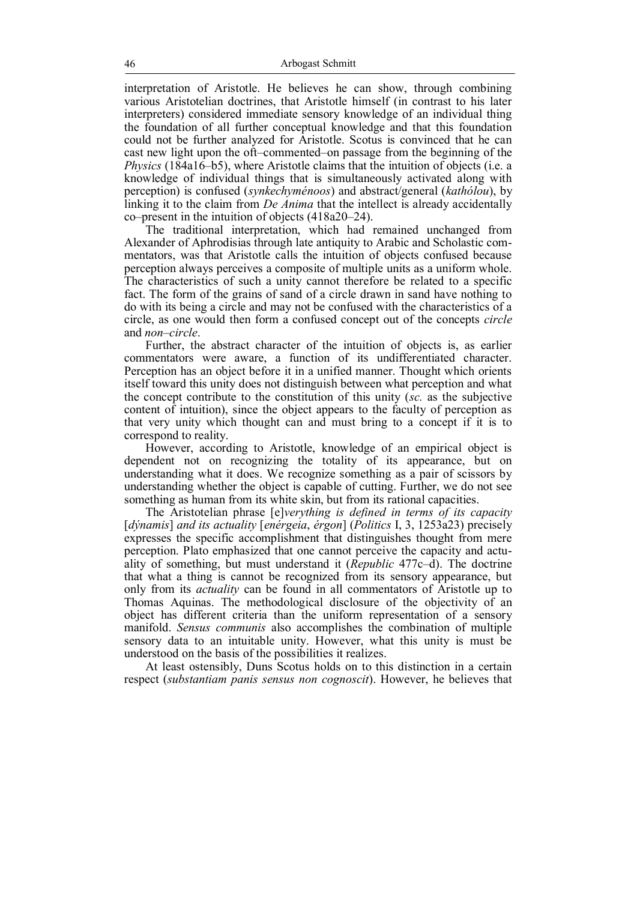interpretation of Aristotle. He believes he can show, through combining various Aristotelian doctrines, that Aristotle himself (in contrast to his later interpreters) considered immediate sensory knowledge of an individual thing the foundation of all further conceptual knowledge and that this foundation could not be further analyzed for Aristotle. Scotus is convinced that he can cast new light upon the oft–commented–on passage from the beginning of the *Physics* (184a16–b5), where Aristotle claims that the intuition of objects (i.e. a knowledge of individual things that is simultaneously activated along with perception) is confused (*synkechyménoos*) and abstract/general (*kathólou*), by linking it to the claim from *De Anima* that the intellect is already accidentally co–present in the intuition of objects (418a20–24).

The traditional interpretation, which had remained unchanged from Alexander of Aphrodisias through late antiquity to Arabic and Scholastic commentators, was that Aristotle calls the intuition of objects confused because perception always perceives a composite of multiple units as a uniform whole. The characteristics of such a unity cannot therefore be related to a specific fact. The form of the grains of sand of a circle drawn in sand have nothing to do with its being a circle and may not be confused with the characteristics of a circle, as one would then form a confused concept out of the concepts *circle* and *non–circle*.

Further, the abstract character of the intuition of objects is, as earlier commentators were aware, a function of its undifferentiated character. Perception has an object before it in a unified manner. Thought which orients itself toward this unity does not distinguish between what perception and what the concept contribute to the constitution of this unity (*sc.* as the subjective content of intuition), since the object appears to the faculty of perception as that very unity which thought can and must bring to a concept if it is to correspond to reality.

However, according to Aristotle, knowledge of an empirical object is dependent not on recognizing the totality of its appearance, but on understanding what it does. We recognize something as a pair of scissors by understanding whether the object is capable of cutting. Further, we do not see something as human from its white skin, but from its rational capacities.

The Aristotelian phrase [e]*verything is defined in terms of its capacity* [*dýnamis*] *and its actuality* [*enérgeia*, *érgon*] (*Politics* I, 3, 1253a23) precisely expresses the specific accomplishment that distinguishes thought from mere perception. Plato emphasized that one cannot perceive the capacity and actuality of something, but must understand it (*Republic* 477c–d). The doctrine that what a thing is cannot be recognized from its sensory appearance, but only from its *actuality* can be found in all commentators of Aristotle up to Thomas Aquinas. The methodological disclosure of the objectivity of an object has different criteria than the uniform representation of a sensory manifold. *Sensus communis* also accomplishes the combination of multiple sensory data to an intuitable unity. However, what this unity is must be understood on the basis of the possibilities it realizes.

At least ostensibly, Duns Scotus holds on to this distinction in a certain respect (*substantiam panis sensus non cognoscit*). However, he believes that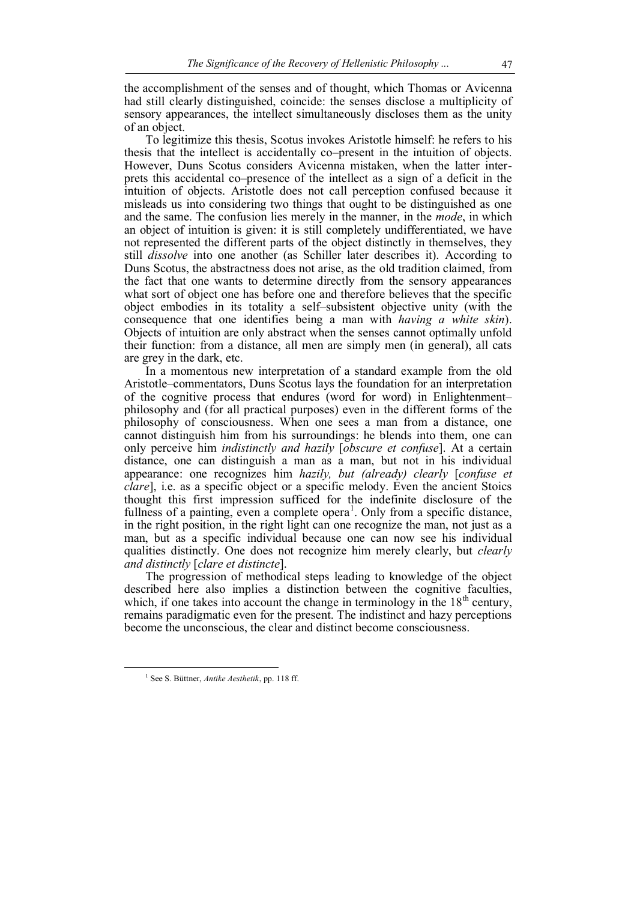the accomplishment of the senses and of thought, which Thomas or Avicenna had still clearly distinguished, coincide: the senses disclose a multiplicity of sensory appearances, the intellect simultaneously discloses them as the unity of an object.

To legitimize this thesis, Scotus invokes Aristotle himself: he refers to his thesis that the intellect is accidentally co–present in the intuition of objects. However, Duns Scotus considers Avicenna mistaken, when the latter interprets this accidental co–presence of the intellect as a sign of a deficit in the intuition of objects. Aristotle does not call perception confused because it misleads us into considering two things that ought to be distinguished as one and the same. The confusion lies merely in the manner, in the *mode*, in which an object of intuition is given: it is still completely undifferentiated, we have not represented the different parts of the object distinctly in themselves, they still *dissolve* into one another (as Schiller later describes it). According to Duns Scotus, the abstractness does not arise, as the old tradition claimed, from the fact that one wants to determine directly from the sensory appearances what sort of object one has before one and therefore believes that the specific object embodies in its totality a self–subsistent objective unity (with the consequence that one identifies being a man with *having a white skin*). Objects of intuition are only abstract when the senses cannot optimally unfold their function: from a distance, all men are simply men (in general), all cats are grey in the dark, etc.

In a momentous new interpretation of a standard example from the old Aristotle–commentators, Duns Scotus lays the foundation for an interpretation of the cognitive process that endures (word for word) in Enlightenment– philosophy and (for all practical purposes) even in the different forms of the philosophy of consciousness. When one sees a man from a distance, one cannot distinguish him from his surroundings: he blends into them, one can only perceive him *indistinctly and hazily* [*obscure et confuse*]. At a certain distance, one can distinguish a man as a man, but not in his individual appearance: one recognizes him *hazily, but (already) clearly* [*confuse et clare*], i.e. as a specific object or a specific melody. Even the ancient Stoics thought this first impression sufficed for the indefinite disclosure of the fullness of a painting, even a complete opera<sup>1</sup>. Only from a specific distance, in the right position, in the right light can one recognize the man, not just as a man, but as a specific individual because one can now see his individual qualities distinctly. One does not recognize him merely clearly, but *clearly and distinctly* [*clare et distincte*].

The progression of methodical steps leading to knowledge of the object described here also implies a distinction between the cognitive faculties, which, if one takes into account the change in terminology in the  $18<sup>th</sup>$  century, remains paradigmatic even for the present. The indistinct and hazy perceptions become the unconscious, the clear and distinct become consciousness.

<sup>1</sup> See S. Büttner, *Antike Aesthetik*, pp. 118 ff.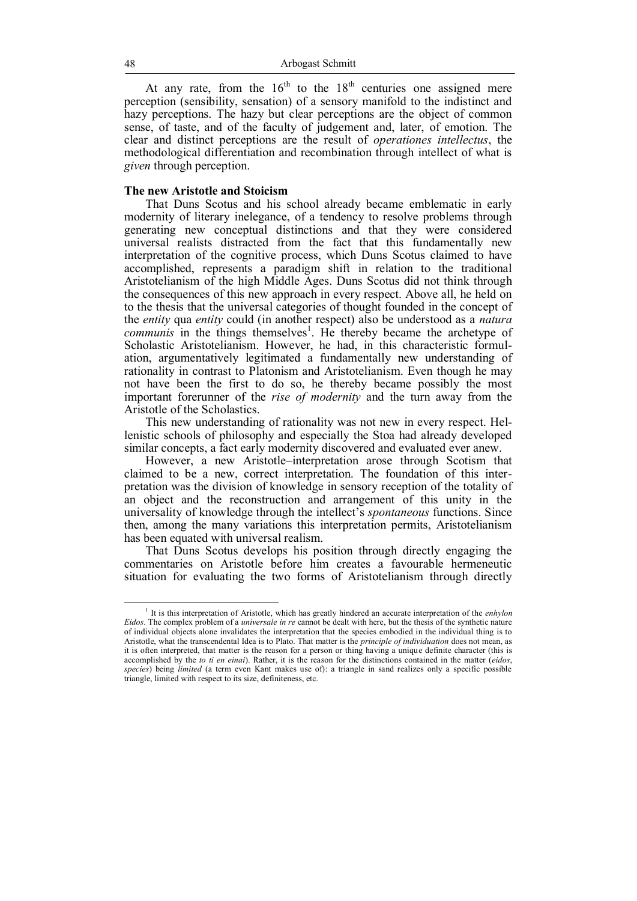At any rate, from the  $16<sup>th</sup>$  to the  $18<sup>th</sup>$  centuries one assigned mere perception (sensibility, sensation) of a sensory manifold to the indistinct and hazy perceptions. The hazy but clear perceptions are the object of common sense, of taste, and of the faculty of judgement and, later, of emotion. The clear and distinct perceptions are the result of *operationes intellectus*, the methodological differentiation and recombination through intellect of what is *given* through perception.

#### **The new Aristotle and Stoicism**

That Duns Scotus and his school already became emblematic in early modernity of literary inelegance, of a tendency to resolve problems through generating new conceptual distinctions and that they were considered universal realists distracted from the fact that this fundamentally new interpretation of the cognitive process, which Duns Scotus claimed to have accomplished, represents a paradigm shift in relation to the traditional Aristotelianism of the high Middle Ages. Duns Scotus did not think through the consequences of this new approach in every respect. Above all, he held on to the thesis that the universal categories of thought founded in the concept of the *entity* qua *entity* could (in another respect) also be understood as a *natura*  communis in the things themselves<sup>1</sup>. He thereby became the archetype of Scholastic Aristotelianism. However, he had, in this characteristic formulation, argumentatively legitimated a fundamentally new understanding of rationality in contrast to Platonism and Aristotelianism. Even though he may not have been the first to do so, he thereby became possibly the most important forerunner of the *rise of modernity* and the turn away from the Aristotle of the Scholastics.

This new understanding of rationality was not new in every respect. Hellenistic schools of philosophy and especially the Stoa had already developed similar concepts, a fact early modernity discovered and evaluated ever anew.

However, a new Aristotle–interpretation arose through Scotism that claimed to be a new, correct interpretation. The foundation of this interpretation was the division of knowledge in sensory reception of the totality of an object and the reconstruction and arrangement of this unity in the universality of knowledge through the intellect's *spontaneous* functions. Since then, among the many variations this interpretation permits, Aristotelianism has been equated with universal realism.

That Duns Scotus develops his position through directly engaging the commentaries on Aristotle before him creates a favourable hermeneutic situation for evaluating the two forms of Aristotelianism through directly

<sup>&</sup>lt;sup>1</sup> It is this interpretation of Aristotle, which has greatly hindered an accurate interpretation of the *enhylon Eidos*. The complex problem of a *universale in re* cannot be dealt with here, but the thesis of the synthetic nature of individual objects alone invalidates the interpretation that the species embodied in the individual thing is to Aristotle, what the transcendental Idea is to Plato. That matter is the *principle of individuation* does not mean, as it is often interpreted, that matter is the reason for a person or thing having a unique definite character (this is accomplished by the *to ti en einai*). Rather, it is the reason for the distinctions contained in the matter (*eidos*, *species*) being *limited* (a term even Kant makes use of): a triangle in sand realizes only a specific possible triangle, limited with respect to its size, definiteness, etc.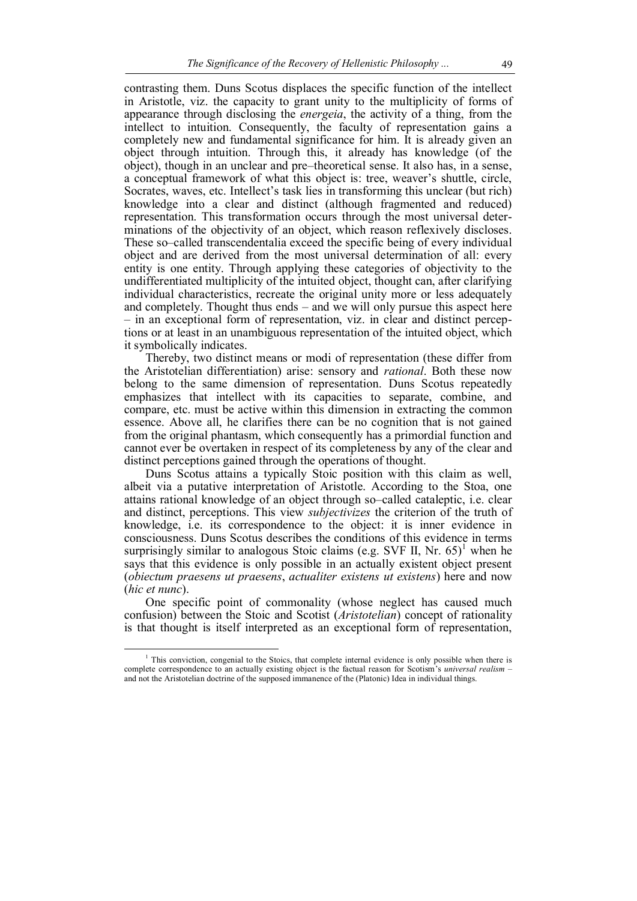contrasting them. Duns Scotus displaces the specific function of the intellect in Aristotle, viz. the capacity to grant unity to the multiplicity of forms of appearance through disclosing the *energeia*, the activity of a thing, from the intellect to intuition. Consequently, the faculty of representation gains a completely new and fundamental significance for him. It is already given an object through intuition. Through this, it already has knowledge (of the object), though in an unclear and pre–theoretical sense. It also has, in a sense, a conceptual framework of what this object is: tree, weaver's shuttle, circle, Socrates, waves, etc. Intellect's task lies in transforming this unclear (but rich) knowledge into a clear and distinct (although fragmented and reduced) representation. This transformation occurs through the most universal determinations of the objectivity of an object, which reason reflexively discloses. These so–called transcendentalia exceed the specific being of every individual object and are derived from the most universal determination of all: every entity is one entity. Through applying these categories of objectivity to the undifferentiated multiplicity of the intuited object, thought can, after clarifying individual characteristics, recreate the original unity more or less adequately and completely. Thought thus ends – and we will only pursue this aspect here – in an exceptional form of representation, viz. in clear and distinct perceptions or at least in an unambiguous representation of the intuited object, which it symbolically indicates.

Thereby, two distinct means or modi of representation (these differ from the Aristotelian differentiation) arise: sensory and *rational*. Both these now belong to the same dimension of representation. Duns Scotus repeatedly emphasizes that intellect with its capacities to separate, combine, and compare, etc. must be active within this dimension in extracting the common essence. Above all, he clarifies there can be no cognition that is not gained from the original phantasm, which consequently has a primordial function and cannot ever be overtaken in respect of its completeness by any of the clear and distinct perceptions gained through the operations of thought.

Duns Scotus attains a typically Stoic position with this claim as well, albeit via a putative interpretation of Aristotle. According to the Stoa, one attains rational knowledge of an object through so–called cataleptic, i.e. clear and distinct, perceptions. This view *subjectivizes* the criterion of the truth of knowledge, i.e. its correspondence to the object: it is inner evidence in consciousness. Duns Scotus describes the conditions of this evidence in terms surprisingly similar to analogous Stoic claims (e.g. SVF II, Nr.  $65)^1$  when he says that this evidence is only possible in an actually existent object present (*obiectum praesens ut praesens*, *actualiter existens ut existens*) here and now (*hic et nunc*).

One specific point of commonality (whose neglect has caused much confusion) between the Stoic and Scotist (*Aristotelian*) concept of rationality is that thought is itself interpreted as an exceptional form of representation,

<sup>&</sup>lt;sup>1</sup> This conviction, congenial to the Stoics, that complete internal evidence is only possible when there is complete correspondence to an actually existing object is the factual reason for Scotism's *universal realism* – and not the Aristotelian doctrine of the supposed immanence of the (Platonic) Idea in individual things.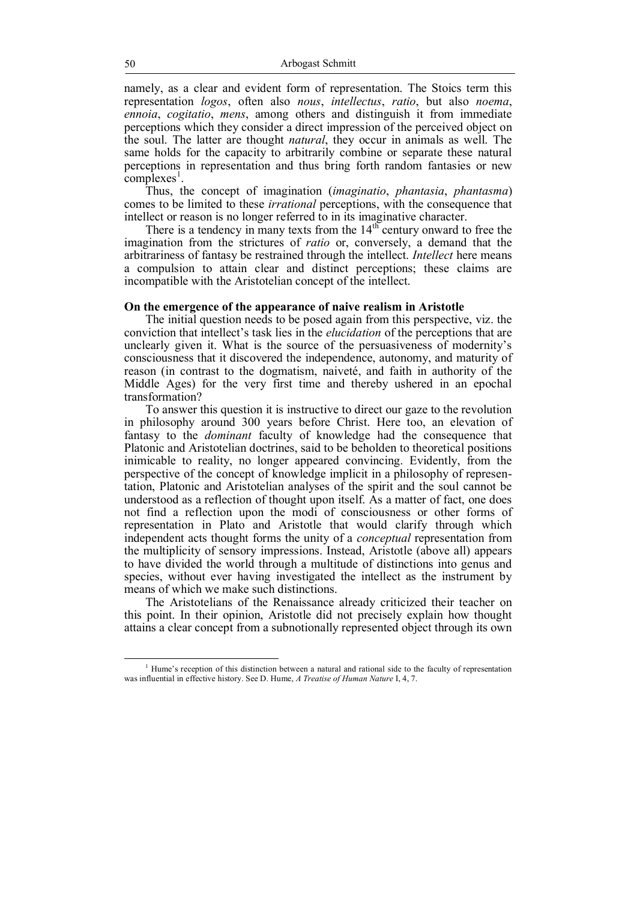namely, as a clear and evident form of representation. The Stoics term this representation *logos*, often also *nous*, *intellectus*, *ratio*, but also *noema*, *ennoia*, *cogitatio*, *mens*, among others and distinguish it from immediate perceptions which they consider a direct impression of the perceived object on the soul. The latter are thought *natural*, they occur in animals as well. The same holds for the capacity to arbitrarily combine or separate these natural perceptions in representation and thus bring forth random fantasies or new  $\frac{1}{2}$ complexes<sup>1</sup>.

Thus, the concept of imagination (*imaginatio*, *phantasia*, *phantasma*) comes to be limited to these *irrational* perceptions, with the consequence that intellect or reason is no longer referred to in its imaginative character.

There is a tendency in many texts from the  $14<sup>th</sup>$  century onward to free the imagination from the strictures of *ratio* or, conversely, a demand that the arbitrariness of fantasy be restrained through the intellect. *Intellect* here means a compulsion to attain clear and distinct perceptions; these claims are incompatible with the Aristotelian concept of the intellect.

### **On the emergence of the appearance of naive realism in Aristotle**

The initial question needs to be posed again from this perspective, viz. the conviction that intellect's task lies in the *elucidation* of the perceptions that are unclearly given it. What is the source of the persuasiveness of modernity's consciousness that it discovered the independence, autonomy, and maturity of reason (in contrast to the dogmatism, naiveté, and faith in authority of the Middle Ages) for the very first time and thereby ushered in an epochal transformation?

To answer this question it is instructive to direct our gaze to the revolution in philosophy around 300 years before Christ. Here too, an elevation of fantasy to the *dominant* faculty of knowledge had the consequence that Platonic and Aristotelian doctrines, said to be beholden to theoretical positions inimicable to reality, no longer appeared convincing. Evidently, from the perspective of the concept of knowledge implicit in a philosophy of representation, Platonic and Aristotelian analyses of the spirit and the soul cannot be understood as a reflection of thought upon itself. As a matter of fact, one does not find a reflection upon the modi of consciousness or other forms of representation in Plato and Aristotle that would clarify through which independent acts thought forms the unity of a *conceptual* representation from the multiplicity of sensory impressions. Instead, Aristotle (above all) appears to have divided the world through a multitude of distinctions into genus and species, without ever having investigated the intellect as the instrument by means of which we make such distinctions.

The Aristotelians of the Renaissance already criticized their teacher on this point. In their opinion, Aristotle did not precisely explain how thought attains a clear concept from a subnotionally represented object through its own

 $<sup>1</sup>$  Hume's reception of this distinction between a natural and rational side to the faculty of representation</sup> was influential in effective history. See D. Hume, *A Treatise of Human Nature* I, 4, 7.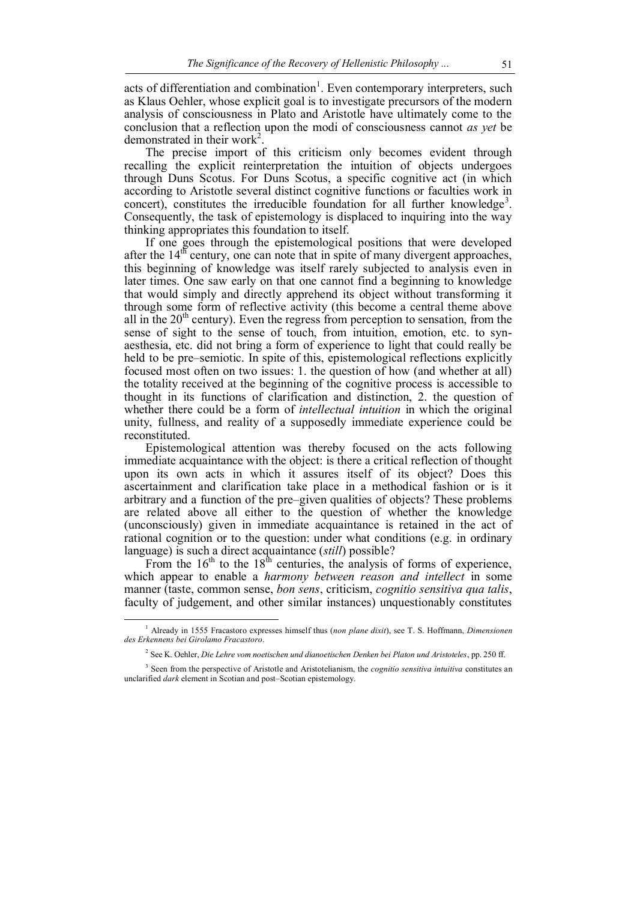acts of differentiation and combination<sup>1</sup>. Even contemporary interpreters, such as Klaus Oehler, whose explicit goal is to investigate precursors of the modern analysis of consciousness in Plato and Aristotle have ultimately come to the conclusion that a reflection upon the modi of consciousness cannot *as yet* be demonstrated in their work<sup>2</sup>.

The precise import of this criticism only becomes evident through recalling the explicit reinterpretation the intuition of objects undergoes through Duns Scotus. For Duns Scotus, a specific cognitive act (in which according to Aristotle several distinct cognitive functions or faculties work in concert), constitutes the irreducible foundation for all further knowledge<sup>3</sup>. Consequently, the task of epistemology is displaced to inquiring into the way thinking appropriates this foundation to itself.

If one goes through the epistemological positions that were developed after the  $14<sup>th</sup>$  century, one can note that in spite of many divergent approaches, this beginning of knowledge was itself rarely subjected to analysis even in later times. One saw early on that one cannot find a beginning to knowledge that would simply and directly apprehend its object without transforming it through some form of reflective activity (this become a central theme above all in the  $20<sup>th</sup>$  century). Even the regress from perception to sensation, from the sense of sight to the sense of touch, from intuition, emotion, etc. to synaesthesia, etc. did not bring a form of experience to light that could really be held to be pre–semiotic. In spite of this, epistemological reflections explicitly focused most often on two issues: 1. the question of how (and whether at all) the totality received at the beginning of the cognitive process is accessible to thought in its functions of clarification and distinction, 2. the question of whether there could be a form of *intellectual intuition* in which the original unity, fullness, and reality of a supposedly immediate experience could be reconstituted.

Epistemological attention was thereby focused on the acts following immediate acquaintance with the object: is there a critical reflection of thought upon its own acts in which it assures itself of its object? Does this ascertainment and clarification take place in a methodical fashion or is it arbitrary and a function of the pre–given qualities of objects? These problems are related above all either to the question of whether the knowledge (unconsciously) given in immediate acquaintance is retained in the act of rational cognition or to the question: under what conditions (e.g. in ordinary language) is such a direct acquaintance (*still*) possible?

From the  $16<sup>th</sup>$  to the  $18<sup>th</sup>$  centuries, the analysis of forms of experience, which appear to enable a *harmony between reason and intellect* in some manner (taste, common sense, *bon sens*, criticism, *cognitio sensitiva qua talis*, faculty of judgement, and other similar instances) unquestionably constitutes

<sup>1</sup> Already in 1555 Fracastoro expresses himself thus (*non plane dixit*), see T. S. Hoffmann, *Dimensionen des Erkennens bei Girolamo Fracastoro*.

<sup>2</sup> See K. Oehler, *Die Lehre vom noetischen und dianoetischen Denken bei Platon und Aristoteles*, pp. 250 ff.

<sup>&</sup>lt;sup>3</sup> Seen from the perspective of Aristotle and Aristotelianism, the *cognitio sensitiva intuitiva* constitutes an unclarified *dark* element in Scotian and post–Scotian epistemology.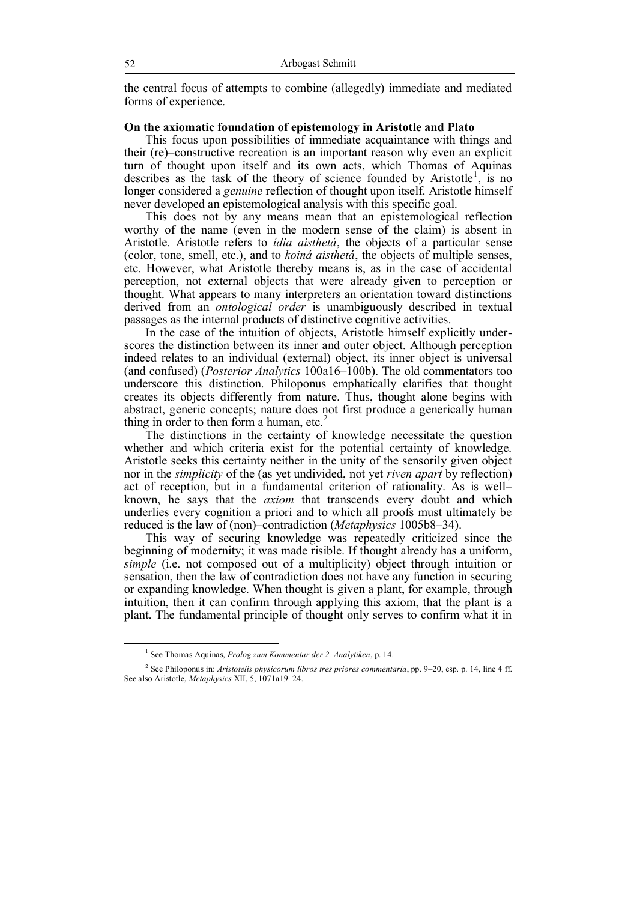the central focus of attempts to combine (allegedly) immediate and mediated forms of experience.

## **On the axiomatic foundation of epistemology in Aristotle and Plato**

This focus upon possibilities of immediate acquaintance with things and their (re)–constructive recreation is an important reason why even an explicit turn of thought upon itself and its own acts, which Thomas of Aquinas describes as the task of the theory of science founded by Aristotle<sup>1</sup>, is no longer considered a *genuine* reflection of thought upon itself. Aristotle himself never developed an epistemological analysis with this specific goal.

This does not by any means mean that an epistemological reflection worthy of the name (even in the modern sense of the claim) is absent in Aristotle. Aristotle refers to *ídia aisthetá*, the objects of a particular sense (color, tone, smell, etc.), and to *koiná aisthetá*, the objects of multiple senses, etc. However, what Aristotle thereby means is, as in the case of accidental perception, not external objects that were already given to perception or thought. What appears to many interpreters an orientation toward distinctions derived from an *ontological order* is unambiguously described in textual passages as the internal products of distinctive cognitive activities.

In the case of the intuition of objects, Aristotle himself explicitly underscores the distinction between its inner and outer object. Although perception indeed relates to an individual (external) object, its inner object is universal (and confused) (*Posterior Analytics* 100a16–100b). The old commentators too underscore this distinction. Philoponus emphatically clarifies that thought creates its objects differently from nature. Thus, thought alone begins with abstract, generic concepts; nature does not first produce a generically human thing in order to then form a human, etc.<sup>2</sup>

The distinctions in the certainty of knowledge necessitate the question whether and which criteria exist for the potential certainty of knowledge. Aristotle seeks this certainty neither in the unity of the sensorily given object nor in the *simplicity* of the (as yet undivided, not yet *riven apart* by reflection) act of reception, but in a fundamental criterion of rationality. As is well– known, he says that the *axiom* that transcends every doubt and which underlies every cognition a priori and to which all proofs must ultimately be reduced is the law of (non)–contradiction (*Metaphysics* 1005b8–34).

This way of securing knowledge was repeatedly criticized since the beginning of modernity; it was made risible. If thought already has a uniform, *simple* (i.e. not composed out of a multiplicity) object through intuition or sensation, then the law of contradiction does not have any function in securing or expanding knowledge. When thought is given a plant, for example, through intuition, then it can confirm through applying this axiom, that the plant is a plant. The fundamental principle of thought only serves to confirm what it in

<sup>1</sup> See Thomas Aquinas, *Prolog zum Kommentar der 2. Analytiken*, p. 14.

<sup>2</sup> See Philoponus in: *Aristotelis physicorum libros tres priores commentaria*, pp. 9–20, esp. p. 14, line 4 ff. See also Aristotle, *Metaphysics* XII, 5, 1071a19–24.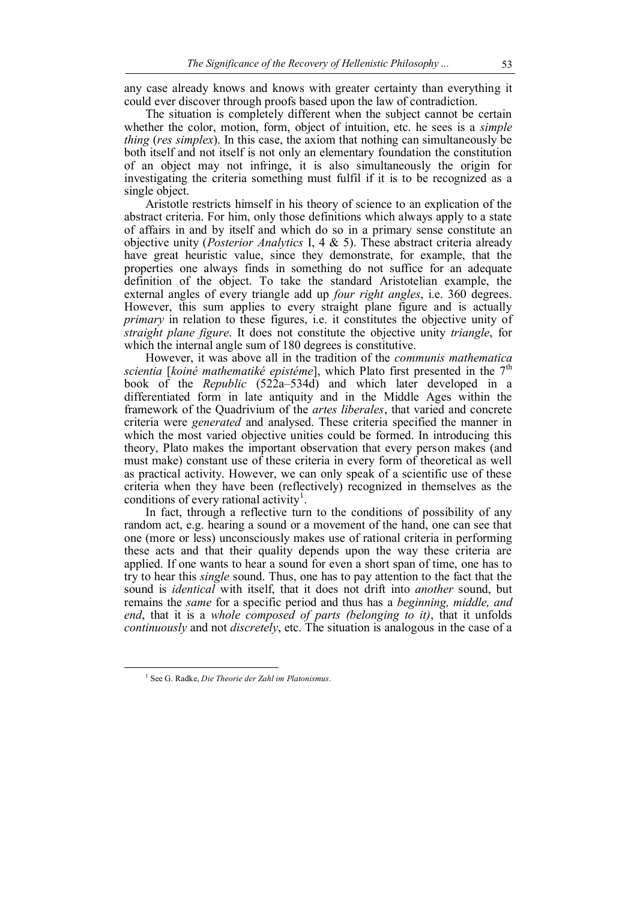any case already knows and knows with greater certainty than everything it could ever discover through proofs based upon the law of contradiction.

The situation is completely different when the subject cannot be certain whether the color, motion, form, object of intuition, etc. he sees is a *simple thing* (*res simplex*). In this case, the axiom that nothing can simultaneously be both itself and not itself is not only an elementary foundation the constitution of an object may not infringe, it is also simultaneously the origin for investigating the criteria something must fulfil if it is to be recognized as a single object.

Aristotle restricts himself in his theory of science to an explication of the abstract criteria. For him, only those definitions which always apply to a state of affairs in and by itself and which do so in a primary sense constitute an objective unity (*Posterior Analytics* I, 4 & 5). These abstract criteria already have great heuristic value, since they demonstrate, for example, that the properties one always finds in something do not suffice for an adequate definition of the object. To take the standard Aristotelian example, the external angles of every triangle add up *four right angles*, i.e. 360 degrees. However, this sum applies to every straight plane figure and is actually *primary* in relation to these figures, i.e. it constitutes the objective unity of *straight plane figure*. It does not constitute the objective unity *triangle*, for which the internal angle sum of 180 degrees is constitutive.

However, it was above all in the tradition of the *communis mathematica scientia* [*koiné mathematiké epistéme*], which Plato first presented in the  $7<sup>th</sup>$ book of the *Republic* (522a–534d) and which later developed in a differentiated form in late antiquity and in the Middle Ages within the framework of the Quadrivium of the *artes liberales*, that varied and concrete criteria were *generated* and analysed. These criteria specified the manner in which the most varied objective unities could be formed. In introducing this theory, Plato makes the important observation that every person makes (and must make) constant use of these criteria in every form of theoretical as well as practical activity. However, we can only speak of a scientific use of these criteria when they have been (reflectively) recognized in themselves as the conditions of every rational activity<sup>1</sup>.

In fact, through a reflective turn to the conditions of possibility of any random act, e.g. hearing a sound or a movement of the hand, one can see that one (more or less) unconsciously makes use of rational criteria in performing these acts and that their quality depends upon the way these criteria are applied. If one wants to hear a sound for even a short span of time, one has to try to hear this *single* sound. Thus, one has to pay attention to the fact that the sound is *identical* with itself, that it does not drift into *another* sound, but remains the *same* for a specific period and thus has a *beginning, middle, and end*, that it is a *whole composed of parts (belonging to it)*, that it unfolds *continuously* and not *discretely*, etc. The situation is analogous in the case of a

<sup>1</sup> See G. Radke, *Die Theorie der Zahl im Platonismus*.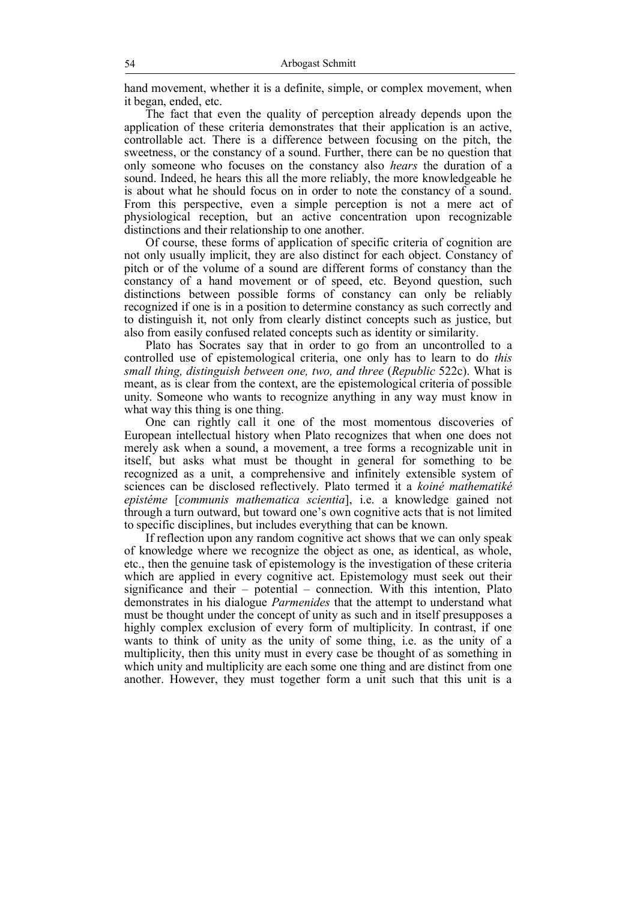hand movement, whether it is a definite, simple, or complex movement, when it began, ended, etc.

The fact that even the quality of perception already depends upon the application of these criteria demonstrates that their application is an active, controllable act. There is a difference between focusing on the pitch, the sweetness, or the constancy of a sound. Further, there can be no question that only someone who focuses on the constancy also *hears* the duration of a sound. Indeed, he hears this all the more reliably, the more knowledgeable he is about what he should focus on in order to note the constancy of a sound. From this perspective, even a simple perception is not a mere act of physiological reception, but an active concentration upon recognizable distinctions and their relationship to one another.

Of course, these forms of application of specific criteria of cognition are not only usually implicit, they are also distinct for each object. Constancy of pitch or of the volume of a sound are different forms of constancy than the constancy of a hand movement or of speed, etc. Beyond question, such distinctions between possible forms of constancy can only be reliably recognized if one is in a position to determine constancy as such correctly and to distinguish it, not only from clearly distinct concepts such as justice, but also from easily confused related concepts such as identity or similarity.

Plato has Socrates say that in order to go from an uncontrolled to a controlled use of epistemological criteria, one only has to learn to do *this small thing, distinguish between one, two, and three* (*Republic* 522c). What is meant, as is clear from the context, are the epistemological criteria of possible unity. Someone who wants to recognize anything in any way must know in what way this thing is one thing.

One can rightly call it one of the most momentous discoveries of European intellectual history when Plato recognizes that when one does not merely ask when a sound, a movement, a tree forms a recognizable unit in itself, but asks what must be thought in general for something to be recognized as a unit, a comprehensive and infinitely extensible system of sciences can be disclosed reflectively. Plato termed it a *koiné mathematiké epistéme* [*communis mathematica scientia*], i.e. a knowledge gained not through a turn outward, but toward one's own cognitive acts that is not limited to specific disciplines, but includes everything that can be known.

If reflection upon any random cognitive act shows that we can only speak of knowledge where we recognize the object as one, as identical, as whole, etc., then the genuine task of epistemology is the investigation of these criteria which are applied in every cognitive act. Epistemology must seek out their significance and their – potential – connection. With this intention, Plato demonstrates in his dialogue *Parmenides* that the attempt to understand what must be thought under the concept of unity as such and in itself presupposes a highly complex exclusion of every form of multiplicity. In contrast, if one wants to think of unity as the unity of some thing, i.e. as the unity of a multiplicity, then this unity must in every case be thought of as something in which unity and multiplicity are each some one thing and are distinct from one another. However, they must together form a unit such that this unit is a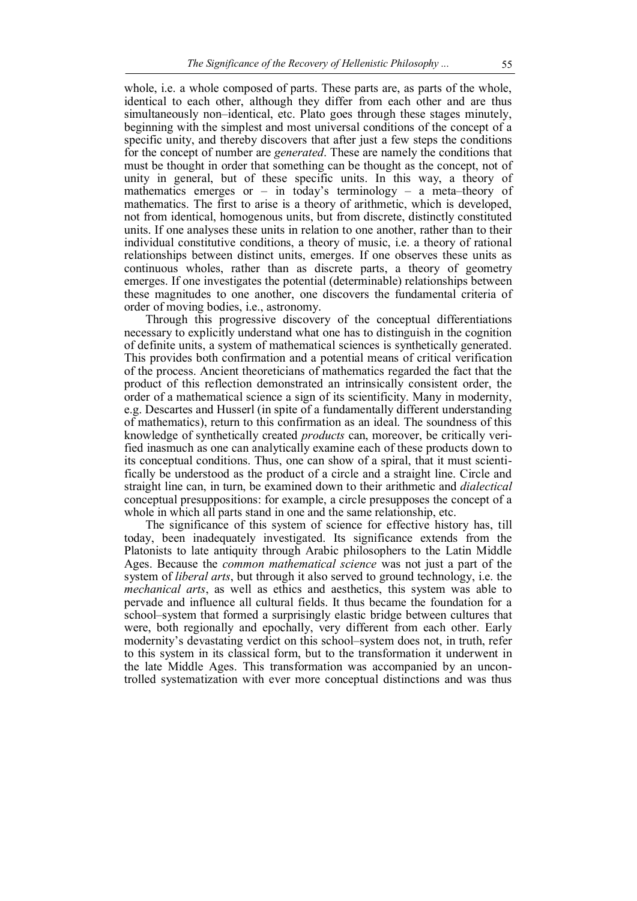whole, i.e. a whole composed of parts. These parts are, as parts of the whole, identical to each other, although they differ from each other and are thus simultaneously non–identical, etc. Plato goes through these stages minutely, beginning with the simplest and most universal conditions of the concept of a specific unity, and thereby discovers that after just a few steps the conditions for the concept of number are *generated*. These are namely the conditions that must be thought in order that something can be thought as the concept, not of unity in general, but of these specific units. In this way, a theory of mathematics emerges or – in today's terminology – a meta–theory of mathematics. The first to arise is a theory of arithmetic, which is developed, not from identical, homogenous units, but from discrete, distinctly constituted units. If one analyses these units in relation to one another, rather than to their individual constitutive conditions, a theory of music, i.e. a theory of rational relationships between distinct units, emerges. If one observes these units as continuous wholes, rather than as discrete parts, a theory of geometry emerges. If one investigates the potential (determinable) relationships between these magnitudes to one another, one discovers the fundamental criteria of order of moving bodies, i.e., astronomy.

Through this progressive discovery of the conceptual differentiations necessary to explicitly understand what one has to distinguish in the cognition of definite units, a system of mathematical sciences is synthetically generated. This provides both confirmation and a potential means of critical verification of the process. Ancient theoreticians of mathematics regarded the fact that the product of this reflection demonstrated an intrinsically consistent order, the order of a mathematical science a sign of its scientificity. Many in modernity, e.g. Descartes and Husserl (in spite of a fundamentally different understanding of mathematics), return to this confirmation as an ideal. The soundness of this knowledge of synthetically created *products* can, moreover, be critically verified inasmuch as one can analytically examine each of these products down to its conceptual conditions. Thus, one can show of a spiral, that it must scientifically be understood as the product of a circle and a straight line. Circle and straight line can, in turn, be examined down to their arithmetic and *dialectical* conceptual presuppositions: for example, a circle presupposes the concept of a whole in which all parts stand in one and the same relationship, etc.

The significance of this system of science for effective history has, till today, been inadequately investigated. Its significance extends from the Platonists to late antiquity through Arabic philosophers to the Latin Middle Ages. Because the *common mathematical science* was not just a part of the system of *liberal arts*, but through it also served to ground technology, i.e. the *mechanical arts*, as well as ethics and aesthetics, this system was able to pervade and influence all cultural fields. It thus became the foundation for a school–system that formed a surprisingly elastic bridge between cultures that were, both regionally and epochally, very different from each other. Early modernity's devastating verdict on this school–system does not, in truth, refer to this system in its classical form, but to the transformation it underwent in the late Middle Ages. This transformation was accompanied by an uncontrolled systematization with ever more conceptual distinctions and was thus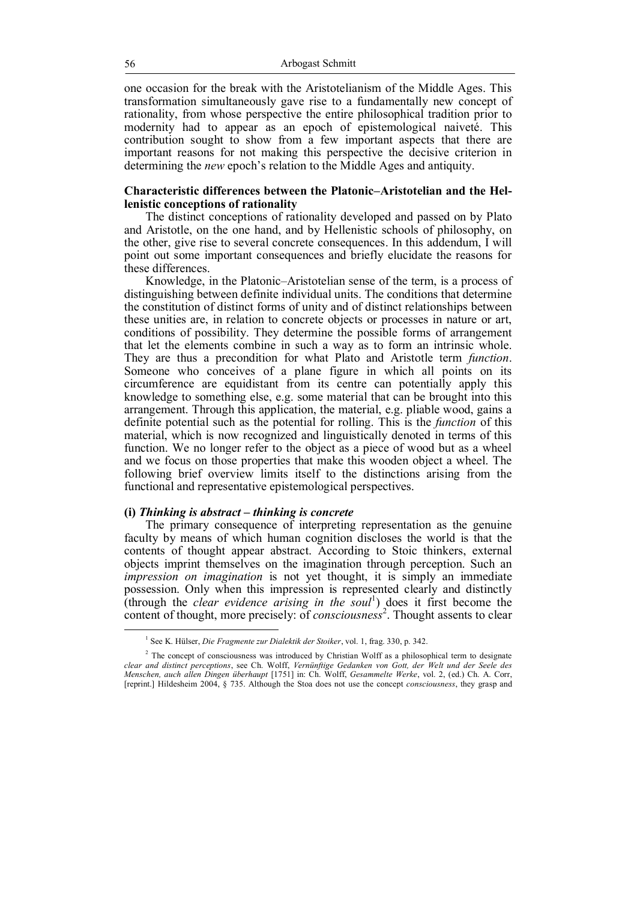one occasion for the break with the Aristotelianism of the Middle Ages. This transformation simultaneously gave rise to a fundamentally new concept of rationality, from whose perspective the entire philosophical tradition prior to modernity had to appear as an epoch of epistemological naiveté. This contribution sought to show from a few important aspects that there are important reasons for not making this perspective the decisive criterion in determining the *new* epoch's relation to the Middle Ages and antiquity.

### **Characteristic differences between the Platonic–Aristotelian and the Hellenistic conceptions of rationality**

The distinct conceptions of rationality developed and passed on by Plato and Aristotle, on the one hand, and by Hellenistic schools of philosophy, on the other, give rise to several concrete consequences. In this addendum, I will point out some important consequences and briefly elucidate the reasons for these differences.

Knowledge, in the Platonic–Aristotelian sense of the term, is a process of distinguishing between definite individual units. The conditions that determine the constitution of distinct forms of unity and of distinct relationships between these unities are, in relation to concrete objects or processes in nature or art, conditions of possibility. They determine the possible forms of arrangement that let the elements combine in such a way as to form an intrinsic whole. They are thus a precondition for what Plato and Aristotle term *function*. Someone who conceives of a plane figure in which all points on its circumference are equidistant from its centre can potentially apply this knowledge to something else, e.g. some material that can be brought into this arrangement. Through this application, the material, e.g. pliable wood, gains a definite potential such as the potential for rolling. This is the *function* of this material, which is now recognized and linguistically denoted in terms of this function. We no longer refer to the object as a piece of wood but as a wheel and we focus on those properties that make this wooden object a wheel. The following brief overview limits itself to the distinctions arising from the functional and representative epistemological perspectives.

## **(i)** *Thinking is abstract – thinking is concrete*

The primary consequence of interpreting representation as the genuine faculty by means of which human cognition discloses the world is that the contents of thought appear abstract. According to Stoic thinkers, external objects imprint themselves on the imagination through perception. Such an *impression on imagination* is not yet thought, it is simply an immediate possession. Only when this impression is represented clearly and distinctly (through the *clear evidence arising in the soul*<sup>1</sup> ) does it first become the content of thought, more precisely: of *consciousness*<sup>2</sup>. Thought assents to clear

<sup>&</sup>lt;sup>1</sup> See K. Hülser, *Die Fragmente zur Dialektik der Stoiker*, vol. 1, frag. 330, p. 342.

<sup>&</sup>lt;sup>2</sup> The concept of consciousness was introduced by Christian Wolff as a philosophical term to designate *clear and distinct perceptions*, see Ch. Wolff, *Vernünftige Gedanken von Gott, der Welt und der Seele des Menschen, auch allen Dingen überhaupt* [1751] in: Ch. Wolff, *Gesammelte Werke*, vol. 2, (ed.) Ch. A. Corr, [reprint.] Hildesheim 2004, § 735. Although the Stoa does not use the concept *consciousness*, they grasp and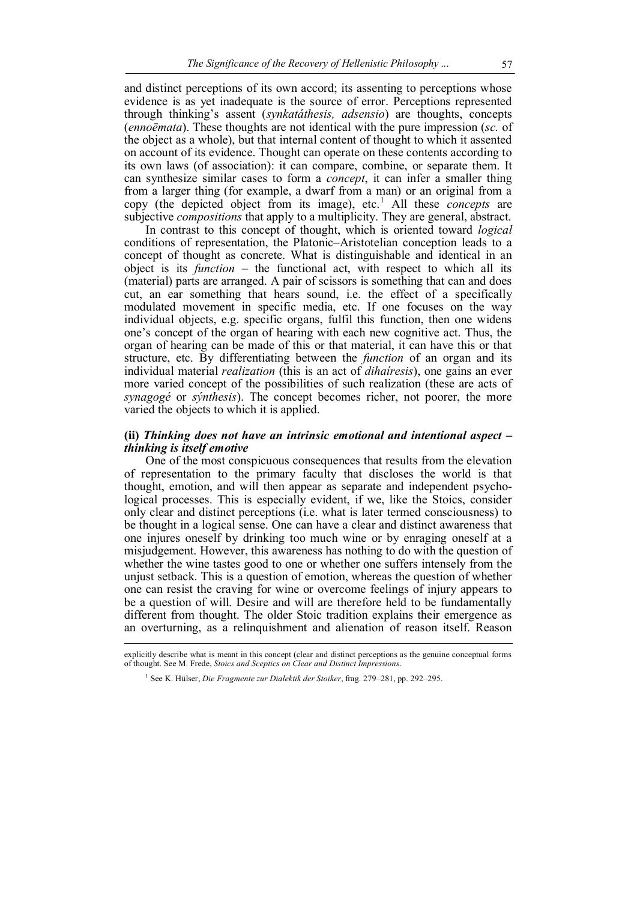and distinct perceptions of its own accord; its assenting to perceptions whose evidence is as yet inadequate is the source of error. Perceptions represented through thinking's assent (*synkatáthesis, adsensio*) are thoughts, concepts (*ennoēmata*). These thoughts are not identical with the pure impression (*sc.* of the object as a whole), but that internal content of thought to which it assented on account of its evidence. Thought can operate on these contents according to its own laws (of association): it can compare, combine, or separate them. It can synthesize similar cases to form a *concept*, it can infer a smaller thing from a larger thing (for example, a dwarf from a man) or an original from a copy (the depicted object from its image), etc.<sup>1</sup> All these *concepts* are subjective *compositions* that apply to a multiplicity. They are general, abstract.

In contrast to this concept of thought, which is oriented toward *logical* conditions of representation, the Platonic–Aristotelian conception leads to a concept of thought as concrete. What is distinguishable and identical in an object is its *function* – the functional act, with respect to which all its (material) parts are arranged. A pair of scissors is something that can and does cut, an ear something that hears sound, i.e. the effect of a specifically modulated movement in specific media, etc. If one focuses on the way individual objects, e.g. specific organs, fulfil this function, then one widens one's concept of the organ of hearing with each new cognitive act. Thus, the organ of hearing can be made of this or that material, it can have this or that structure, etc. By differentiating between the *function* of an organ and its individual material *realization* (this is an act of *dihaíresis*), one gains an ever more varied concept of the possibilities of such realization (these are acts of *synagogé* or *sýnthesis*). The concept becomes richer, not poorer, the more varied the objects to which it is applied.

### **(ii)** *Thinking does not have an intrinsic emotional and intentional aspect – thinking is itself emotive*

One of the most conspicuous consequences that results from the elevation of representation to the primary faculty that discloses the world is that thought, emotion, and will then appear as separate and independent psychological processes. This is especially evident, if we, like the Stoics, consider only clear and distinct perceptions (i.e. what is later termed consciousness) to be thought in a logical sense. One can have a clear and distinct awareness that one injures oneself by drinking too much wine or by enraging oneself at a misjudgement. However, this awareness has nothing to do with the question of whether the wine tastes good to one or whether one suffers intensely from the unjust setback. This is a question of emotion, whereas the question of whether one can resist the craving for wine or overcome feelings of injury appears to be a question of will. Desire and will are therefore held to be fundamentally different from thought. The older Stoic tradition explains their emergence as an overturning, as a relinquishment and alienation of reason itself. Reason

explicitly describe what is meant in this concept (clear and distinct perceptions as the genuine conceptual forms of thought. See M. Frede, *Stoics and Sceptics on Clear and Distinct Impressions*.

<sup>&</sup>lt;sup>1</sup> See K. Hülser, *Die Fragmente zur Dialektik der Stoiker*, frag. 279–281, pp. 292–295.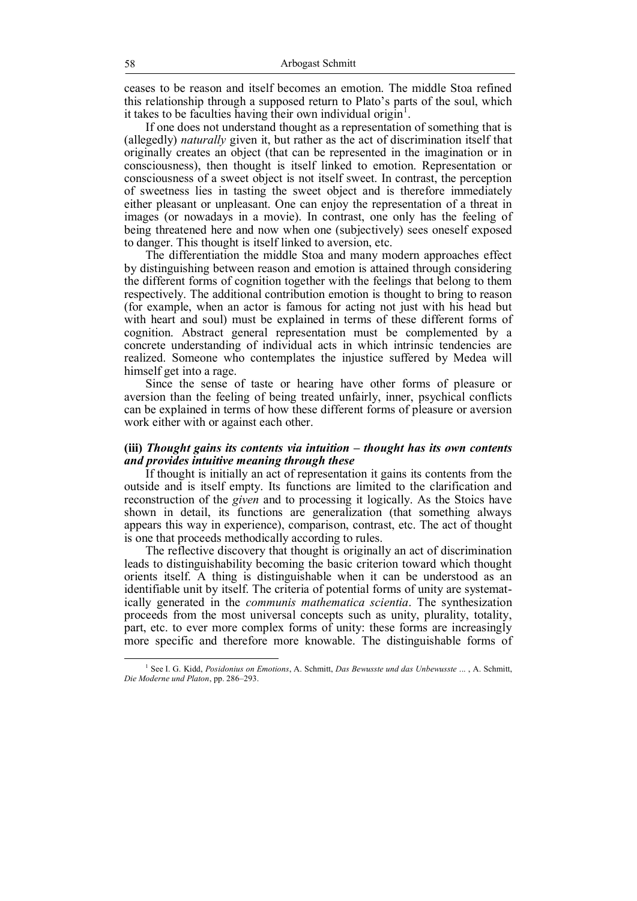ceases to be reason and itself becomes an emotion. The middle Stoa refined this relationship through a supposed return to Plato's parts of the soul, which it takes to be faculties having their own individual origin<sup>1</sup>.

If one does not understand thought as a representation of something that is (allegedly) *naturally* given it, but rather as the act of discrimination itself that originally creates an object (that can be represented in the imagination or in consciousness), then thought is itself linked to emotion. Representation or consciousness of a sweet object is not itself sweet. In contrast, the perception of sweetness lies in tasting the sweet object and is therefore immediately either pleasant or unpleasant. One can enjoy the representation of a threat in images (or nowadays in a movie). In contrast, one only has the feeling of being threatened here and now when one (subjectively) sees oneself exposed to danger. This thought is itself linked to aversion, etc.

The differentiation the middle Stoa and many modern approaches effect by distinguishing between reason and emotion is attained through considering the different forms of cognition together with the feelings that belong to them respectively. The additional contribution emotion is thought to bring to reason (for example, when an actor is famous for acting not just with his head but with heart and soul) must be explained in terms of these different forms of cognition. Abstract general representation must be complemented by a concrete understanding of individual acts in which intrinsic tendencies are realized. Someone who contemplates the injustice suffered by Medea will himself get into a rage.

Since the sense of taste or hearing have other forms of pleasure or aversion than the feeling of being treated unfairly, inner, psychical conflicts can be explained in terms of how these different forms of pleasure or aversion work either with or against each other.

### **(iii)** *Thought gains its contents via intuition – thought has its own contents and provides intuitive meaning through these*

If thought is initially an act of representation it gains its contents from the outside and is itself empty. Its functions are limited to the clarification and reconstruction of the *given* and to processing it logically. As the Stoics have shown in detail, its functions are generalization (that something always appears this way in experience), comparison, contrast, etc. The act of thought is one that proceeds methodically according to rules.

The reflective discovery that thought is originally an act of discrimination leads to distinguishability becoming the basic criterion toward which thought orients itself. A thing is distinguishable when it can be understood as an identifiable unit by itself. The criteria of potential forms of unity are systematically generated in the *communis mathematica scientia*. The synthesization proceeds from the most universal concepts such as unity, plurality, totality, part, etc. to ever more complex forms of unity: these forms are increasingly more specific and therefore more knowable. The distinguishable forms of

<sup>1</sup> See I. G. Kidd, *Posidonius on Emotions*, A. Schmitt, *Das Bewusste und das Unbewusste* ... , A. Schmitt, *Die Moderne und Platon*, pp. 286–293.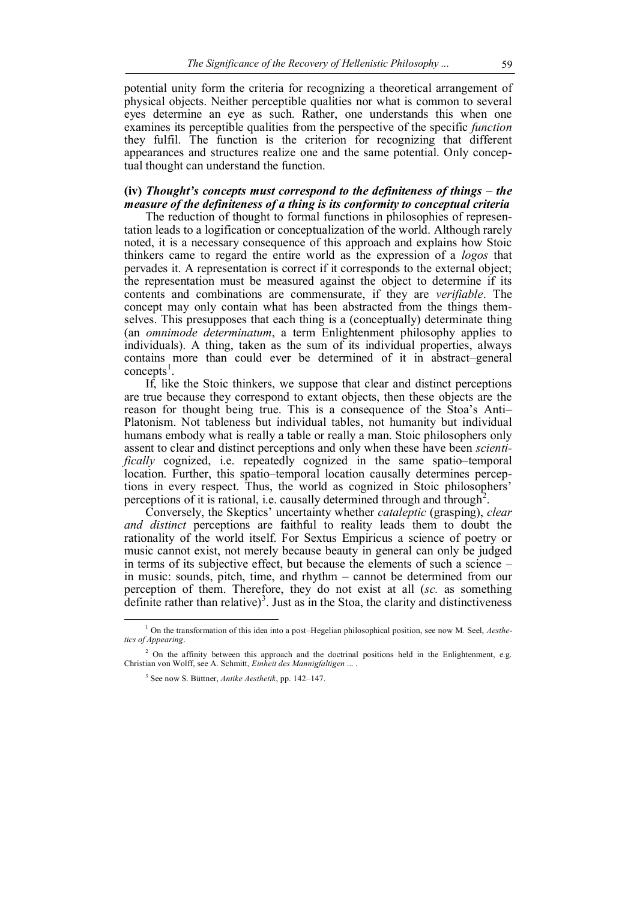potential unity form the criteria for recognizing a theoretical arrangement of physical objects. Neither perceptible qualities nor what is common to several eyes determine an eye as such. Rather, one understands this when one examines its perceptible qualities from the perspective of the specific *function* they fulfil. The function is the criterion for recognizing that different appearances and structures realize one and the same potential. Only conceptual thought can understand the function.

# **(iv)** *Thought's concepts must correspond to the definiteness of things – the measure of the definiteness of a thing is its conformity to conceptual criteria*

The reduction of thought to formal functions in philosophies of representation leads to a logification or conceptualization of the world. Although rarely noted, it is a necessary consequence of this approach and explains how Stoic thinkers came to regard the entire world as the expression of a *logos* that pervades it. A representation is correct if it corresponds to the external object; the representation must be measured against the object to determine if its contents and combinations are commensurate, if they are *verifiable*. The concept may only contain what has been abstracted from the things themselves. This presupposes that each thing is a (conceptually) determinate thing (an *omnimode determinatum*, a term Enlightenment philosophy applies to individuals). A thing, taken as the sum of its individual properties, always contains more than could ever be determined of it in abstract–general  $concepts<sup>1</sup>$ .

If, like the Stoic thinkers, we suppose that clear and distinct perceptions are true because they correspond to extant objects, then these objects are the reason for thought being true. This is a consequence of the Stoa's Anti– Platonism. Not tableness but individual tables, not humanity but individual humans embody what is really a table or really a man. Stoic philosophers only assent to clear and distinct perceptions and only when these have been *scientifically* cognized, i.e. repeatedly cognized in the same spatio–temporal location. Further, this spatio–temporal location causally determines perceptions in every respect. Thus, the world as cognized in Stoic philosophers' perceptions of it is rational, i.e. causally determined through and through<sup>2</sup>.

Conversely, the Skeptics' uncertainty whether *cataleptic* (grasping), *clear and distinct* perceptions are faithful to reality leads them to doubt the rationality of the world itself. For Sextus Empiricus a science of poetry or music cannot exist, not merely because beauty in general can only be judged in terms of its subjective effect, but because the elements of such a science – in music: sounds, pitch, time, and rhythm – cannot be determined from our perception of them. Therefore, they do not exist at all (*sc.* as something definite rather than relative)<sup>3</sup>. Just as in the Stoa, the clarity and distinctiveness

<sup>1</sup> On the transformation of this idea into a post–Hegelian philosophical position, see now M. Seel, *Aesthetics of Appearing*.

<sup>&</sup>lt;sup>2</sup> On the affinity between this approach and the doctrinal positions held in the Enlightenment, e.g. Christian von Wolff, see A. Schmitt, *Einheit des Mannigfaltigen* ... .

<sup>3</sup> See now S. Büttner, *Antike Aesthetik*, pp. 142–147.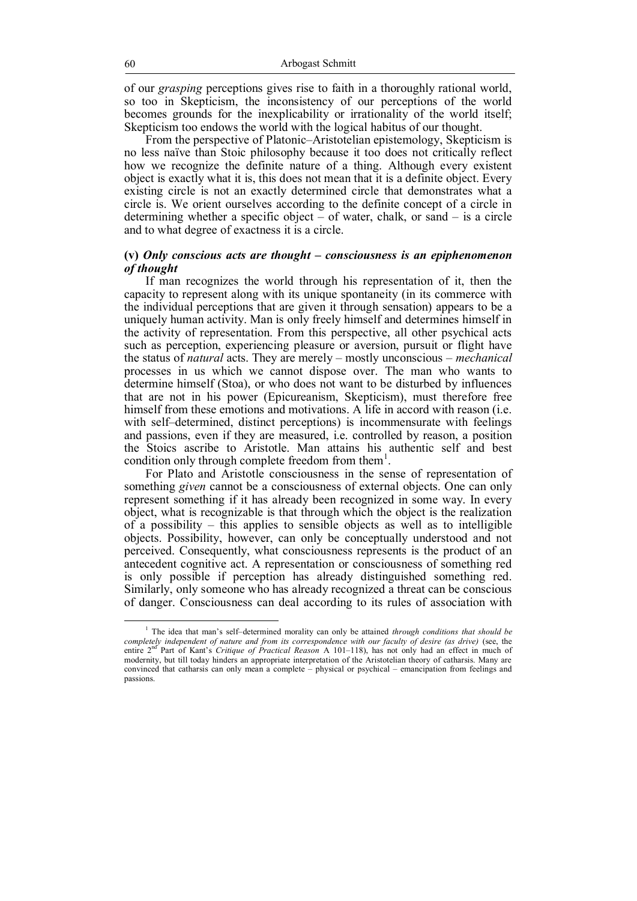of our *grasping* perceptions gives rise to faith in a thoroughly rational world, so too in Skepticism, the inconsistency of our perceptions of the world becomes grounds for the inexplicability or irrationality of the world itself; Skepticism too endows the world with the logical habitus of our thought.

From the perspective of Platonic–Aristotelian epistemology, Skepticism is no less naïve than Stoic philosophy because it too does not critically reflect how we recognize the definite nature of a thing. Although every existent object is exactly what it is, this does not mean that it is a definite object. Every existing circle is not an exactly determined circle that demonstrates what a circle is. We orient ourselves according to the definite concept of a circle in determining whether a specific object  $-$  of water, chalk, or sand  $-$  is a circle and to what degree of exactness it is a circle.

## **(v)** *Only conscious acts are thought – consciousness is an epiphenomenon of thought*

If man recognizes the world through his representation of it, then the capacity to represent along with its unique spontaneity (in its commerce with the individual perceptions that are given it through sensation) appears to be a uniquely human activity. Man is only freely himself and determines himself in the activity of representation. From this perspective, all other psychical acts such as perception, experiencing pleasure or aversion, pursuit or flight have the status of *natural* acts. They are merely – mostly unconscious – *mechanical* processes in us which we cannot dispose over. The man who wants to determine himself (Stoa), or who does not want to be disturbed by influences that are not in his power (Epicureanism, Skepticism), must therefore free himself from these emotions and motivations. A life in accord with reason (i.e. with self–determined, distinct perceptions) is incommensurate with feelings and passions, even if they are measured, i.e. controlled by reason, a position the Stoics ascribe to Aristotle. Man attains his authentic self and best condition only through complete freedom from them $<sup>1</sup>$ .</sup>

For Plato and Aristotle consciousness in the sense of representation of something *given* cannot be a consciousness of external objects. One can only represent something if it has already been recognized in some way. In every object, what is recognizable is that through which the object is the realization of a possibility – this applies to sensible objects as well as to intelligible objects. Possibility, however, can only be conceptually understood and not perceived. Consequently, what consciousness represents is the product of an antecedent cognitive act. A representation or consciousness of something red is only possible if perception has already distinguished something red. Similarly, only someone who has already recognized a threat can be conscious of danger. Consciousness can deal according to its rules of association with

<sup>1</sup> The idea that man's self–determined morality can only be attained *through conditions that should be completely independent of nature and from its correspondence with our faculty of desire (as drive)* (see, the entire 2<sup>nd</sup> Part of Kant's *Critique of Practical Reason* A 101-118), has not only had an effect in much of modernity, but till today hinders an appropriate interpretation of the Aristotelian theory of catharsis. Many are convinced that catharsis can only mean a complete – physical or psychical – emancipation from feelings and passions.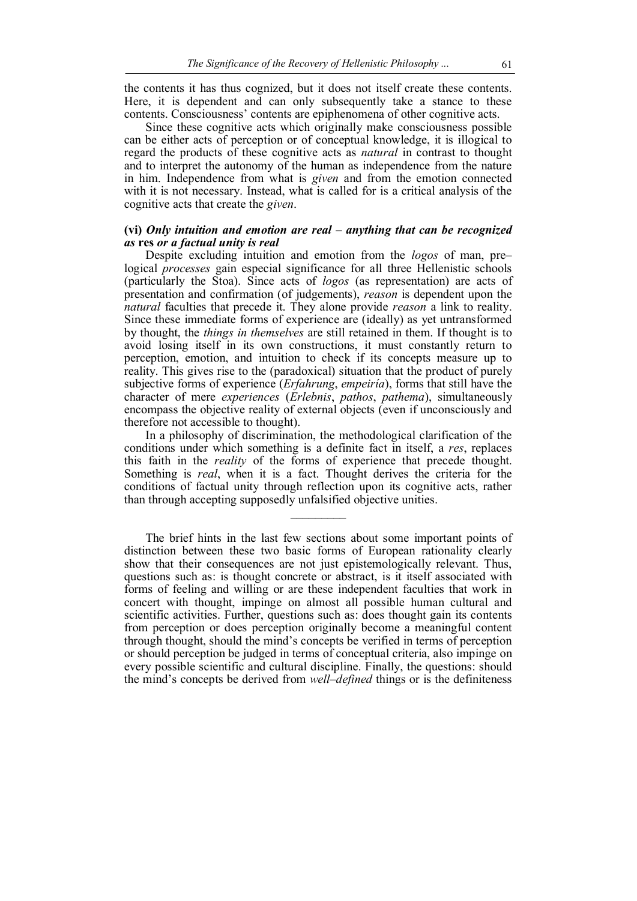the contents it has thus cognized, but it does not itself create these contents. Here, it is dependent and can only subsequently take a stance to these contents. Consciousness' contents are epiphenomena of other cognitive acts.

Since these cognitive acts which originally make consciousness possible can be either acts of perception or of conceptual knowledge, it is illogical to regard the products of these cognitive acts as *natural* in contrast to thought and to interpret the autonomy of the human as independence from the nature in him. Independence from what is *given* and from the emotion connected with it is not necessary. Instead, what is called for is a critical analysis of the cognitive acts that create the *given*.

# **(vi)** *Only intuition and emotion are real – anything that can be recognized as* **res** *or a factual unity is real*

Despite excluding intuition and emotion from the *logos* of man, pre– logical *processes* gain especial significance for all three Hellenistic schools (particularly the Stoa). Since acts of *logos* (as representation) are acts of presentation and confirmation (of judgements), *reason* is dependent upon the *natural* faculties that precede it. They alone provide *reason* a link to reality. Since these immediate forms of experience are (ideally) as yet untransformed by thought, the *things in themselves* are still retained in them. If thought is to avoid losing itself in its own constructions, it must constantly return to perception, emotion, and intuition to check if its concepts measure up to reality. This gives rise to the (paradoxical) situation that the product of purely subjective forms of experience (*Erfahrung*, *empeiría*), forms that still have the character of mere *experiences* (*Erlebnis*, *pathos*, *pathema*), simultaneously encompass the objective reality of external objects (even if unconsciously and therefore not accessible to thought).

In a philosophy of discrimination, the methodological clarification of the conditions under which something is a definite fact in itself, a *res*, replaces this faith in the *reality* of the forms of experience that precede thought. Something is *real*, when it is a fact. Thought derives the criteria for the conditions of factual unity through reflection upon its cognitive acts, rather than through accepting supposedly unfalsified objective unities.

 $\frac{1}{2}$ 

The brief hints in the last few sections about some important points of distinction between these two basic forms of European rationality clearly show that their consequences are not just epistemologically relevant. Thus, questions such as: is thought concrete or abstract, is it itself associated with forms of feeling and willing or are these independent faculties that work in concert with thought, impinge on almost all possible human cultural and scientific activities. Further, questions such as: does thought gain its contents from perception or does perception originally become a meaningful content through thought, should the mind's concepts be verified in terms of perception or should perception be judged in terms of conceptual criteria, also impinge on every possible scientific and cultural discipline. Finally, the questions: should the mind's concepts be derived from *well–defined* things or is the definiteness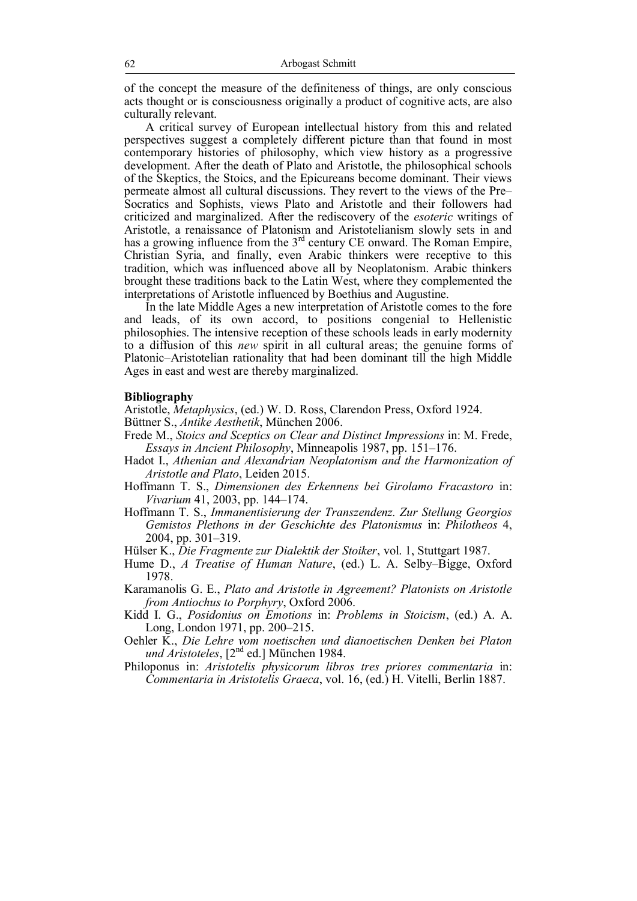of the concept the measure of the definiteness of things, are only conscious acts thought or is consciousness originally a product of cognitive acts, are also culturally relevant.

A critical survey of European intellectual history from this and related perspectives suggest a completely different picture than that found in most contemporary histories of philosophy, which view history as a progressive development. After the death of Plato and Aristotle, the philosophical schools of the Skeptics, the Stoics, and the Epicureans become dominant. Their views permeate almost all cultural discussions. They revert to the views of the Pre– Socratics and Sophists, views Plato and Aristotle and their followers had criticized and marginalized. After the rediscovery of the *esoteric* writings of Aristotle, a renaissance of Platonism and Aristotelianism slowly sets in and has a growing influence from the  $3<sup>rd</sup>$  century CE onward. The Roman Empire, Christian Syria, and finally, even Arabic thinkers were receptive to this tradition, which was influenced above all by Neoplatonism. Arabic thinkers brought these traditions back to the Latin West, where they complemented the interpretations of Aristotle influenced by Boethius and Augustine.

In the late Middle Ages a new interpretation of Aristotle comes to the fore and leads, of its own accord, to positions congenial to Hellenistic philosophies. The intensive reception of these schools leads in early modernity to a diffusion of this *new* spirit in all cultural areas; the genuine forms of Platonic–Aristotelian rationality that had been dominant till the high Middle Ages in east and west are thereby marginalized.

### **Bibliography**

Aristotle, *Metaphysics*, (ed.) W. D. Ross, Clarendon Press, Oxford 1924. Büttner S., *Antike Aesthetik*, München 2006.

- Frede M., *Stoics and Sceptics on Clear and Distinct Impressions* in: M. Frede, *Essays in Ancient Philosophy*, Minneapolis 1987, pp. 151–176.
- Hadot I., *Athenian and Alexandrian Neoplatonism and the Harmonization of Aristotle and Plato*, Leiden 2015.
- Hoffmann T. S., *Dimensionen des Erkennens bei Girolamo Fracastoro* in: *Vivarium* 41, 2003, pp. 144–174.
- Hoffmann T. S., *Immanentisierung der Transzendenz. Zur Stellung Georgios Gemistos Plethons in der Geschichte des Platonismus* in: *Philotheos* 4, 2004, pp. 301–319.
- Hülser K., *Die Fragmente zur Dialektik der Stoiker*, vol. 1, Stuttgart 1987.
- Hume D., *A Treatise of Human Nature*, (ed.) L. A. Selby–Bigge, Oxford 1978.
- Karamanolis G. E., *Plato and Aristotle in Agreement? Platonists on Aristotle from Antiochus to Porphyry*, Oxford 2006.
- Kidd I. G., *Posidonius on Emotions* in: *Problems in Stoicism*, (ed.) A. A. Long, London 1971, pp. 200–215.
- Oehler K., *Die Lehre vom noetischen und dianoetischen Denken bei Platon und Aristoteles*, [2<sup>nd</sup> ed.] München 1984.
- Philoponus in: *Aristotelis physicorum libros tres priores commentaria* in: *Commentaria in Aristotelis Graeca*, vol. 16, (ed.) H. Vitelli, Berlin 1887.